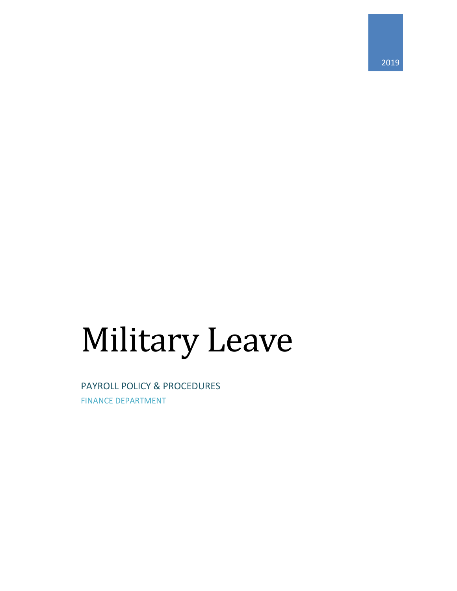# Military Leave

PAYROLL POLICY & PROCEDURES FINANCE DEPARTMENT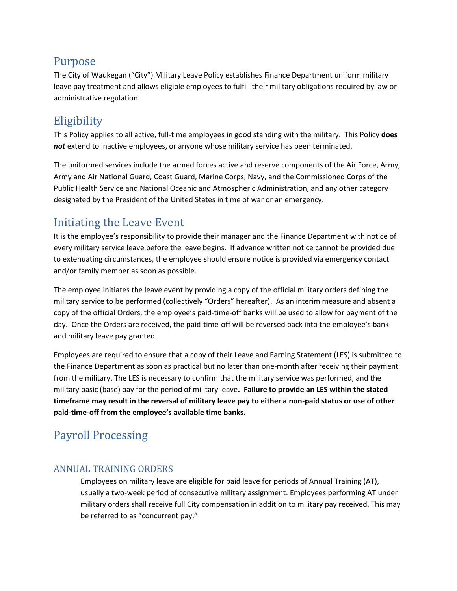## Purpose

The City of Waukegan ("City") Military Leave Policy establishes Finance Department uniform military leave pay treatment and allows eligible employees to fulfill their military obligations required by law or administrative regulation.

## **Eligibility**

This Policy applies to all active, full-time employees in good standing with the military. This Policy **does**  not extend to inactive employees, or anyone whose military service has been terminated.

The uniformed services include the armed forces active and reserve components of the Air Force, Army, Army and Air National Guard, Coast Guard, Marine Corps, Navy, and the Commissioned Corps of the Public Health Service and National Oceanic and Atmospheric Administration, and any other category designated by the President of the United States in time of war or an emergency.

# Initiating the Leave Event

It is the employee's responsibility to provide their manager and the Finance Department with notice of every military service leave before the leave begins. If advance written notice cannot be provided due to extenuating circumstances, the employee should ensure notice is provided via emergency contact and/or family member as soon as possible.

The employee initiates the leave event by providing a copy of the official military orders defining the military service to be performed (collectively "Orders" hereafter). As an interim measure and absent a copy of the official Orders, the employee's paid-time-off banks will be used to allow for payment of the day. Once the Orders are received, the paid-time-off will be reversed back into the employee's bank and military leave pay granted.

Employees are required to ensure that a copy of their Leave and Earning Statement (LES) is submitted to [the](mailto:wkpayroll@waukeganil.gov) Finance Department as soon as practical but no later than one-month after receiving their payment from the military. The LES is necessary to confirm that the military service was performed, and the military basic (base) pay for the period of military leave**. Failure to provide an LES within the stated timeframe may result in the reversal of military leave pay to either a non-paid status or use of other paid-time-off from the employee's available time banks.**

# Payroll Processing

## ANNUAL TRAINING ORDERS

Employees on military leave are eligible for paid leave for periods of Annual Training (AT), usually a two-week period of consecutive military assignment. Employees performing AT under military orders shall receive full City compensation in addition to military pay received. This may be referred to as "concurrent pay."